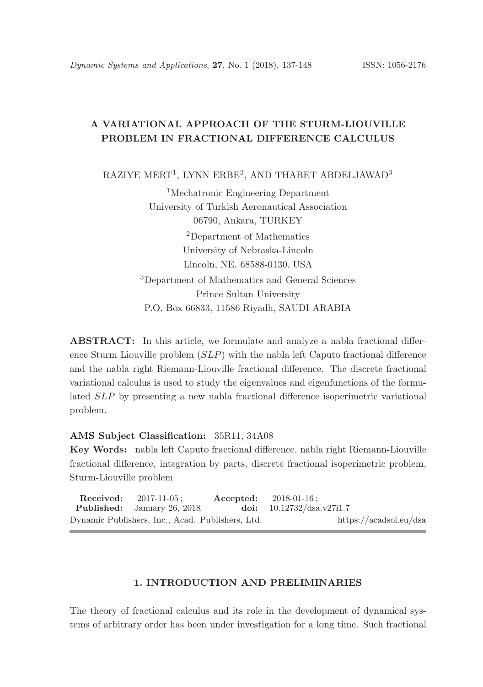# A VARIATIONAL APPROACH OF THE STURM-LIOUVILLE PROBLEM IN FRACTIONAL DIFFERENCE CALCULUS

RAZIYE MERT<sup>1</sup>, LYNN ERBE<sup>2</sup>, AND THABET ABDELJAWAD<sup>3</sup>

<sup>1</sup>Mechatronic Engineering Department University of Turkish Aeronautical Association 06790, Ankara, TURKEY <sup>2</sup>Department of Mathematics University of Nebraska-Lincoln Lincoln, NE, 68588-0130, USA <sup>3</sup>Department of Mathematics and General Sciences Prince Sultan University P.O. Box 66833, 11586 Riyadh, SAUDI ARABIA

ABSTRACT: In this article, we formulate and analyze a nabla fractional difference Sturm Liouville problem (SLP) with the nabla left Caputo fractional difference and the nabla right Riemann-Liouville fractional difference. The discrete fractional variational calculus is used to study the eigenvalues and eigenfunctions of the formulated SLP by presenting a new nabla fractional difference isoperimetric variational problem.

## AMS Subject Classification: 35R11, 34A08

Key Words: nabla left Caputo fractional difference, nabla right Riemann-Liouville fractional difference, integration by parts, discrete fractional isoperimetric problem, Sturm-Liouville problem

|                                                  | <b>Received:</b> $2017-11-05$ :    | Accepted: $2018-01-16$ ; |                                    |
|--------------------------------------------------|------------------------------------|--------------------------|------------------------------------|
|                                                  | <b>Published:</b> January 26, 2018 |                          | <b>doi:</b> $10.12732/dsa.v27i1.7$ |
| Dynamic Publishers, Inc., Acad. Publishers, Ltd. |                                    |                          | https://acadsol.eu/dsa             |

## 1. INTRODUCTION AND PRELIMINARIES

The theory of fractional calculus and its role in the development of dynamical systems of arbitrary order has been under investigation for a long time. Such fractional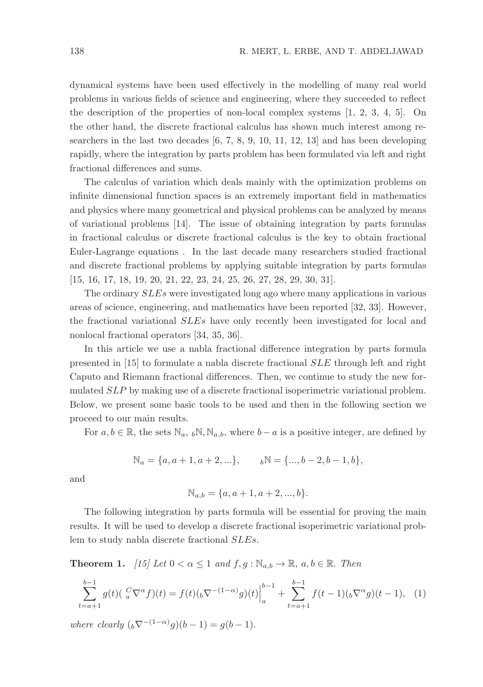dynamical systems have been used effectively in the modelling of many real world problems in various fields of science and engineering, where they succeeded to reflect the description of the properties of non-local complex systems [1, 2, 3, 4, 5]. On the other hand, the discrete fractional calculus has shown much interest among researchers in the last two decades [6, 7, 8, 9, 10, 11, 12, 13] and has been developing rapidly, where the integration by parts problem has been formulated via left and right fractional differences and sums.

The calculus of variation which deals mainly with the optimization problems on infinite dimensional function spaces is an extremely important field in mathematics and physics where many geometrical and physical problems can be analyzed by means of variational problems [14]. The issue of obtaining integration by parts formulas in fractional calculus or discrete fractional calculus is the key to obtain fractional Euler-Lagrange equations . In the last decade many researchers studied fractional and discrete fractional problems by applying suitable integration by parts formulas [15, 16, 17, 18, 19, 20, 21, 22, 23, 24, 25, 26, 27, 28, 29, 30, 31].

The ordinary SLEs were investigated long ago where many applications in various areas of science, engineering, and mathematics have been reported [32, 33]. However, the fractional variational SLEs have only recently been investigated for local and nonlocal fractional operators [34, 35, 36].

In this article we use a nabla fractional difference integration by parts formula presented in [15] to formulate a nabla discrete fractional SLE through left and right Caputo and Riemann fractional differences. Then, we continue to study the new formulated SLP by making use of a discrete fractional isoperimetric variational problem. Below, we present some basic tools to be used and then in the following section we proceed to our main results.

For  $a, b \in \mathbb{R}$ , the sets  $\mathbb{N}_a$ ,  $_b\mathbb{N}, \mathbb{N}_{a,b}$ , where  $b - a$  is a positive integer, are defined by

$$
\mathbb{N}_a = \{a, a+1, a+2, \ldots\}, \qquad b\mathbb{N} = \{\ldots, b-2, b-1, b\},\
$$

and

$$
\mathbb{N}_{a,b} = \{a, a+1, a+2, ..., b\}.
$$

The following integration by parts formula will be essential for proving the main results. It will be used to develop a discrete fractional isoperimetric variational problem to study nabla discrete fractional SLEs.

**Theorem 1.** [15] Let  $0 < \alpha \leq 1$  and  $f, g : \mathbb{N}_{a,b} \to \mathbb{R}, a, b \in \mathbb{R}$ . Then

$$
\sum_{t=a+1}^{b-1} g(t) \left( \,_{a}^{C} \nabla^{\alpha} f \right)(t) = f(t) \left( \sqrt{b} \nabla^{-(1-\alpha)} g \right)(t) \Big|_{a}^{b-1} + \sum_{t=a+1}^{b-1} f(t-1) \left( \sqrt{b} \nabla^{\alpha} g \right)(t-1), \tag{1}
$$

where clearly  $(b\nabla^{-(1-\alpha)}g)(b-1) = g(b-1)$ .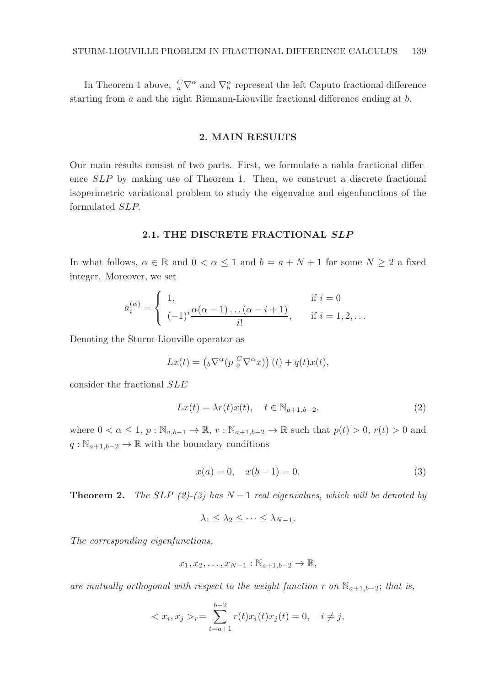In Theorem 1 above,  ${}_{a}^{C}\nabla^{\alpha}$  and  $\nabla^{\alpha}_b$  represent the left Caputo fractional difference starting from a and the right Riemann-Liouville fractional difference ending at b.

### 2. MAIN RESULTS

Our main results consist of two parts. First, we formulate a nabla fractional difference SLP by making use of Theorem 1. Then, we construct a discrete fractional isoperimetric variational problem to study the eigenvalue and eigenfunctions of the formulated SLP.

#### 2.1. THE DISCRETE FRACTIONAL SLP

In what follows,  $\alpha \in \mathbb{R}$  and  $0 < \alpha \leq 1$  and  $b = a + N + 1$  for some  $N \geq 2$  a fixed integer. Moreover, we set

$$
a_i^{(\alpha)} = \begin{cases} 1, & \text{if } i = 0 \\ (-1)^i \frac{\alpha(\alpha - 1) \dots (\alpha - i + 1)}{i!}, & \text{if } i = 1, 2, \dots \end{cases}
$$

Denoting the Sturm-Liouville operator as

$$
Lx(t) = \left(b\nabla^{\alpha}(p_a^C\nabla^{\alpha}x)\right)(t) + q(t)x(t),
$$

consider the fractional SLE

$$
Lx(t) = \lambda r(t)x(t), \quad t \in \mathbb{N}_{a+1,b-2},
$$
\n(2)

where  $0 < \alpha \leq 1$ ,  $p : \mathbb{N}_{a,b-1} \to \mathbb{R}$ ,  $r : \mathbb{N}_{a+1,b-2} \to \mathbb{R}$  such that  $p(t) > 0$ ,  $r(t) > 0$  and  $q: \mathbb{N}_{a+1,b-2} \to \mathbb{R}$  with the boundary conditions

$$
x(a) = 0, \quad x(b-1) = 0.
$$
 (3)

**Theorem 2.** The SLP (2)-(3) has  $N-1$  real eigenvalues, which will be denoted by

$$
\lambda_1 \leq \lambda_2 \leq \cdots \leq \lambda_{N-1}.
$$

The corresponding eigenfunctions,

$$
x_1, x_2, \ldots, x_{N-1} : \mathbb{N}_{a+1,b-2} \to \mathbb{R},
$$

are mutually orthogonal with respect to the weight function r on  $\mathbb{N}_{a+1,b-2}$ ; that is,

$$
\langle x_i, x_j \rangle_r = \sum_{t=a+1}^{b-2} r(t)x_i(t)x_j(t) = 0, \quad i \neq j,
$$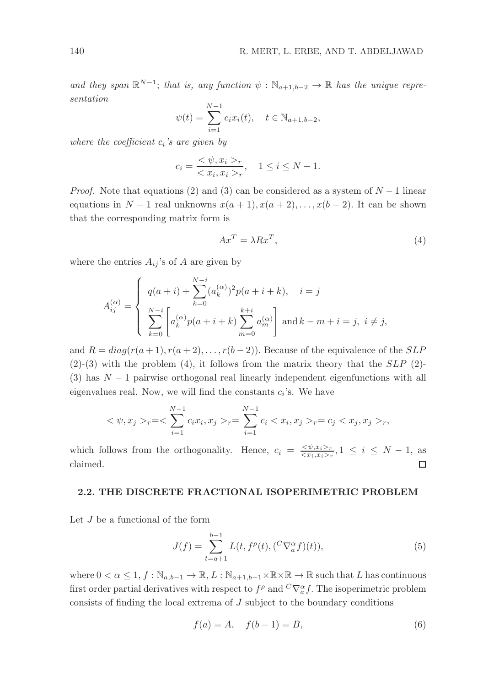and they span  $\mathbb{R}^{N-1}$ ; that is, any function  $\psi : \mathbb{N}_{a+1,b-2} \to \mathbb{R}$  has the unique representation

$$
\psi(t) = \sum_{i=1}^{N-1} c_i x_i(t), \quad t \in \mathbb{N}_{a+1,b-2},
$$

where the coefficient  $c_i$ 's are given by

$$
c_i = \frac{\langle \psi, x_i \rangle_r}{\langle x_i, x_i \rangle_r}, \quad 1 \le i \le N - 1.
$$

*Proof.* Note that equations (2) and (3) can be considered as a system of  $N-1$  linear equations in  $N-1$  real unknowns  $x(a + 1), x(a + 2), \ldots, x(b - 2)$ . It can be shown that the corresponding matrix form is

$$
Ax^T = \lambda Rx^T,\tag{4}
$$

where the entries  $A_{ij}$ 's of A are given by

$$
A_{ij}^{(\alpha)} = \begin{cases} q(a+i) + \sum_{k=0}^{N-i} (a_k^{(\alpha)})^2 p(a+i+k), & i = j \\ \sum_{k=0}^{N-i} \begin{bmatrix} a_k^{(\alpha)} p(a+i+k) \sum_{m=0}^{k+i} a_m^{(\alpha)} \end{bmatrix} \text{ and } k-m+i=j, \ i \neq j, \end{cases}
$$

and  $R = diag(r(a + 1), r(a + 2), \ldots, r(b - 2))$ . Because of the equivalence of the *SLP*  $(2)-(3)$  with the problem  $(4)$ , it follows from the matrix theory that the *SLP*  $(2)$ -(3) has  $N-1$  pairwise orthogonal real linearly independent eigenfunctions with all eigenvalues real. Now, we will find the constants  $c_i$ 's. We have

$$
\langle \psi, x_j \rangle_r = \langle \sum_{i=1}^{N-1} c_i x_i, x_j \rangle_r = \sum_{i=1}^{N-1} c_i \langle x_i, x_j \rangle_r = c_j \langle x_j, x_j \rangle_r,
$$

which follows from the orthogonality. Hence,  $c_i = \frac{\langle \psi, x_i \rangle_r}{\langle x_i, x_i \rangle_r}$ ,  $1 \leq i \leq N-1$ , as claimed. □

#### 2.2. THE DISCRETE FRACTIONAL ISOPERIMETRIC PROBLEM

Let J be a functional of the form

$$
J(f) = \sum_{t=a+1}^{b-1} L(t, f^{\rho}(t), ({}^{C}\nabla_a^{\alpha}f)(t)),
$$
\n(5)

where  $0 < \alpha \leq 1, f : \mathbb{N}_{a,b-1} \to \mathbb{R}, L : \mathbb{N}_{a+1,b-1} \times \mathbb{R} \times \mathbb{R} \to \mathbb{R}$  such that L has continuous first order partial derivatives with respect to  $f^{\rho}$  and  ${}^{C}\nabla_{a}^{\alpha}f$ . The isoperimetric problem consists of finding the local extrema of J subject to the boundary conditions

$$
f(a) = A, \quad f(b-1) = B,\tag{6}
$$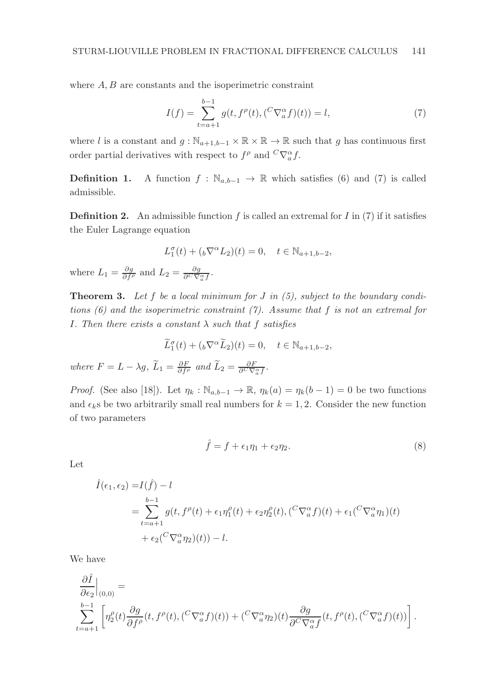where A, B are constants and the isoperimetric constraint

$$
I(f) = \sum_{t=a+1}^{b-1} g(t, f^{\rho}(t), ({}^{C}\nabla_a^{\alpha} f)(t)) = l,
$$
\n(7)

where l is a constant and  $g : \mathbb{N}_{a+1,b-1} \times \mathbb{R} \times \mathbb{R} \to \mathbb{R}$  such that g has continuous first order partial derivatives with respect to  $f^{\rho}$  and  ${}^{C}\nabla_{a}^{\alpha}f$ .

**Definition 1.** A function  $f : \mathbb{N}_{a,b-1} \to \mathbb{R}$  which satisfies (6) and (7) is called admissible.

**Definition 2.** An admissible function f is called an extremal for I in (7) if it satisfies the Euler Lagrange equation

$$
L_1^{\sigma}(t) + ({}_b\nabla^{\alpha}L_2)(t) = 0, \quad t \in \mathbb{N}_{a+1,b-2},
$$

where  $L_1 = \frac{\partial g}{\partial f^\rho}$  and  $L_2 = \frac{\partial g}{\partial^C \nabla_a^\alpha f}$ .

**Theorem 3.** Let f be a local minimum for J in  $(5)$ , subject to the boundary conditions  $(6)$  and the isoperimetric constraint  $(7)$ . Assume that f is not an extremal for I. Then there exists a constant  $\lambda$  such that f satisfies

$$
\widetilde{L}_1^{\sigma}(t) + ({}_b\nabla^{\alpha}\widetilde{L}_2)(t) = 0, \quad t \in \mathbb{N}_{a+1,b-2},
$$
  

$$
\frac{\partial F}{\partial t} \quad \frac{\partial F}{\partial t} \quad \frac{\partial F}{\partial t}
$$

where  $F = L - \lambda g$ ,  $\widetilde{L}_1 = \frac{\partial F}{\partial f^{\rho}}$  and  $\widetilde{L}_2 = \frac{\partial F}{\partial C \nabla_{\alpha}^{\alpha} f}$ .

*Proof.* (See also [18]). Let  $\eta_k : \mathbb{N}_{a,b-1} \to \mathbb{R}$ ,  $\eta_k(a) = \eta_k(b-1) = 0$  be two functions and  $\epsilon_k$ s be two arbitrarily small real numbers for  $k = 1, 2$ . Consider the new function of two parameters

$$
\hat{f} = f + \epsilon_1 \eta_1 + \epsilon_2 \eta_2. \tag{8}
$$

Let

$$
\hat{I}(\epsilon_1, \epsilon_2) = I(\hat{f}) - l
$$
\n
$$
= \sum_{t=a+1}^{b-1} g(t, f^{\rho}(t) + \epsilon_1 \eta_1^{\rho}(t) + \epsilon_2 \eta_2^{\rho}(t), (\ {}^{C}\nabla_a^{\alpha}f)(t) + \epsilon_1 ({}^{C}\nabla_a^{\alpha} \eta_1)(t)
$$
\n
$$
+ \epsilon_2 ({}^{C}\nabla_a^{\alpha} \eta_2)(t)) - l.
$$

We have

$$
\label{eq:2.1} \begin{split} &\frac{\partial \hat{I}}{\partial \epsilon_2}\Big|_{(0,0)}=\qquad\\ &\sum_{t=a+1}^{b-1}\left[\eta_2^\rho(t)\frac{\partial g}{\partial f^\rho}(t,f^\rho(t),({^C}\nabla^\alpha_a f)(t))+({^C}\nabla^\alpha_a\eta_2)(t)\frac{\partial g}{\partial ^C\nabla^\alpha_a f}(t,f^\rho(t),({^C}\nabla^\alpha_a f)(t))\right]. \end{split}
$$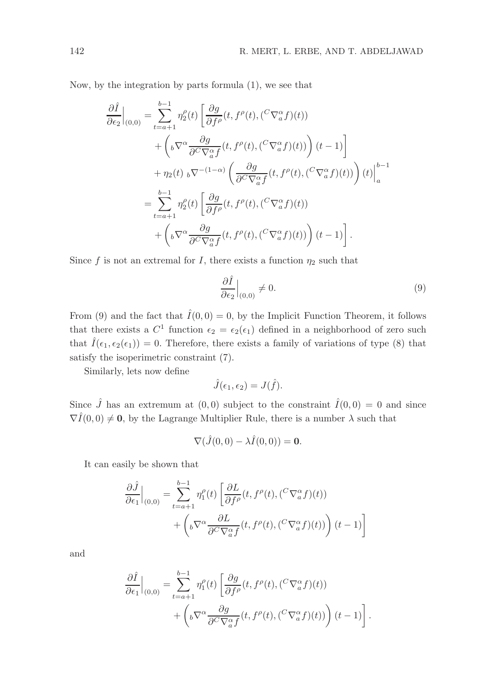Now, by the integration by parts formula (1), we see that

$$
\frac{\partial \hat{I}}{\partial \epsilon_2}\Big|_{(0,0)} = \sum_{t=a+1}^{b-1} \eta_2^{\rho}(t) \left[ \frac{\partial g}{\partial f^{\rho}}(t, f^{\rho}(t), ({}^{C}\nabla_a^{\alpha}f)(t)) + \left( {}_{b}\nabla^{\alpha} \frac{\partial g}{\partial {}^{C}\nabla_a^{\alpha}f}(t, f^{\rho}(t), ({}^{C}\nabla_a^{\alpha}f)(t)) \right) (t-1) \right] \n+ \eta_2(t) {}_{b}\nabla^{-(1-\alpha)} \left( \frac{\partial g}{\partial {}^{C}\nabla_a^{\alpha}f}(t, f^{\rho}(t), ({}^{C}\nabla_a^{\alpha}f)(t)) \right) (t) \Big|_{a}^{b-1} \n= \sum_{t=a+1}^{b-1} \eta_2^{\rho}(t) \left[ \frac{\partial g}{\partial f^{\rho}}(t, f^{\rho}(t), ({}^{C}\nabla_a^{\alpha}f)(t)) + \left( {}_{b}\nabla^{\alpha} \frac{\partial g}{\partial {}^{C}\nabla_a^{\alpha}f}(t, f^{\rho}(t), ({}^{C}\nabla_a^{\alpha}f)(t)) \right) (t-1) \right].
$$

Since f is not an extremal for I, there exists a function  $\eta_2$  such that

$$
\frac{\partial \hat{I}}{\partial \epsilon_2}\Big|_{(0,0)} \neq 0. \tag{9}
$$

.

From (9) and the fact that  $\hat{I}(0,0) = 0$ , by the Implicit Function Theorem, it follows that there exists a  $C^1$  function  $\epsilon_2 = \epsilon_2(\epsilon_1)$  defined in a neighborhood of zero such that  $\hat{I}(\epsilon_1, \epsilon_2(\epsilon_1)) = 0$ . Therefore, there exists a family of variations of type (8) that satisfy the isoperimetric constraint (7).

Similarly, lets now define

$$
\hat{J}(\epsilon_1, \epsilon_2) = J(\hat{f}).
$$

Since  $\hat{J}$  has an extremum at  $(0,0)$  subject to the constraint  $\hat{I}(0,0) = 0$  and since  $\nabla \hat{I}(0,0) \neq 0$ , by the Lagrange Multiplier Rule, there is a number  $\lambda$  such that

$$
\nabla(\hat{J}(0,0) - \lambda \hat{I}(0,0)) = \mathbf{0}.
$$

It can easily be shown that

$$
\frac{\partial \hat{J}}{\partial \epsilon_1}\Big|_{(0,0)} = \sum_{t=a+1}^{b-1} \eta_1^{\rho}(t) \left[ \frac{\partial L}{\partial f^{\rho}}(t, f^{\rho}(t), ({}^{C}\nabla_a^{\alpha}f)(t)) + \left( {}_{b}\nabla^{\alpha} \frac{\partial L}{\partial {}^{C}\nabla_a^{\alpha}f}(t, f^{\rho}(t), ({}^{C}\nabla_a^{\alpha}f)(t)) \right) (t-1) \right]
$$

and

$$
\frac{\partial \hat{I}}{\partial \epsilon_1}\Big|_{(0,0)} = \sum_{t=a+1}^{b-1} \eta_1^{\rho}(t) \left[ \frac{\partial g}{\partial f^{\rho}}(t, f^{\rho}(t), ({}^{C}\nabla_a^{\alpha}f)(t)) + \left( {}_{b}\nabla^{\alpha} \frac{\partial g}{\partial {}^{C}\nabla_a^{\alpha}f}(t, f^{\rho}(t), ({}^{C}\nabla_a^{\alpha}f)(t)) \right) (t-1) \right]
$$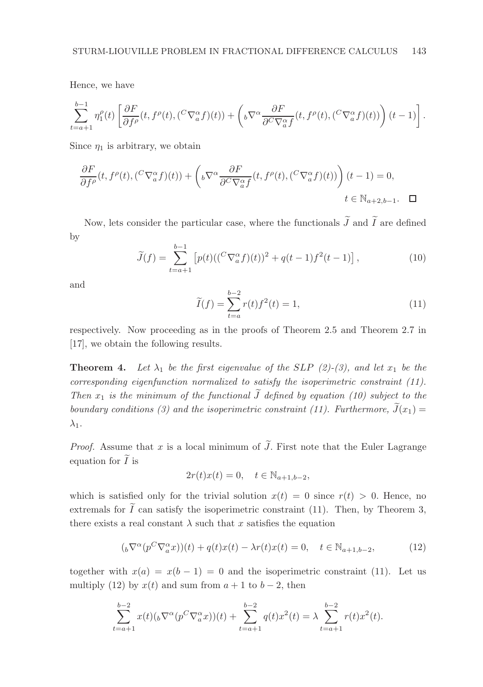Hence, we have

$$
\sum_{t=a+1}^{b-1} \eta_1^{\rho}(t) \left[ \frac{\partial F}{\partial f^{\rho}}(t, f^{\rho}(t), ({}^{C}\nabla_a^{\alpha} f)(t)) + \left( {}_{b}\nabla^{\alpha} \frac{\partial F}{\partial {}^{C}\nabla_a^{\alpha} f}(t, f^{\rho}(t), ({}^{C}\nabla_a^{\alpha} f)(t)) \right) (t-1) \right].
$$

Since  $\eta_1$  is arbitrary, we obtain

$$
\frac{\partial F}{\partial f^{\rho}}(t, f^{\rho}(t), ({}^{C}\nabla_{a}^{\alpha}f)(t)) + \left({}_{b}\nabla^{\alpha}\frac{\partial F}{\partial^{C}\nabla_{a}^{\alpha}f}(t, f^{\rho}(t), ({}^{C}\nabla_{a}^{\alpha}f)(t))\right)(t-1) = 0,
$$
  

$$
t \in \mathbb{N}_{a+2,b-1}.
$$

Now, lets consider the particular case, where the functionals  $\widetilde{J}$  and  $\widetilde{I}$  are defined by

$$
\widetilde{J}(f) = \sum_{t=a+1}^{b-1} \left[ p(t) \left( \left( \begin{matrix} C \nabla_a^{\alpha} f \right) (t) \end{matrix} \right)^2 + q(t-1) f^2(t-1) \right],\tag{10}
$$

and

$$
\widetilde{I}(f) = \sum_{t=a}^{b-2} r(t)f^{2}(t) = 1,
$$
\n(11)

respectively. Now proceeding as in the proofs of Theorem 2.5 and Theorem 2.7 in [17], we obtain the following results.

**Theorem 4.** Let  $\lambda_1$  be the first eigenvalue of the SLP (2)-(3), and let  $x_1$  be the corresponding eigenfunction normalized to satisfy the isoperimetric constraint (11). Then  $x_1$  is the minimum of the functional  $\widetilde{J}$  defined by equation (10) subject to the boundary conditions (3) and the isoperimetric constraint (11). Furthermore,  $\tilde{J}(x_1) =$  $\lambda_1$ .

*Proof.* Assume that x is a local minimum of  $\tilde{J}$ . First note that the Euler Lagrange equation for  $\widetilde{I}$  is

$$
2r(t)x(t) = 0, \quad t \in \mathbb{N}_{a+1,b-2},
$$

which is satisfied only for the trivial solution  $x(t) = 0$  since  $r(t) > 0$ . Hence, no extremals for  $\tilde{I}$  can satisfy the isoperimetric constraint (11). Then, by Theorem 3, there exists a real constant  $\lambda$  such that x satisfies the equation

$$
({}_b\nabla^{\alpha}(p^C\nabla_a^{\alpha}x))(t) + q(t)x(t) - \lambda r(t)x(t) = 0, \quad t \in \mathbb{N}_{a+1,b-2},\tag{12}
$$

together with  $x(a) = x(b-1) = 0$  and the isoperimetric constraint (11). Let us multiply (12) by  $x(t)$  and sum from  $a + 1$  to  $b - 2$ , then

$$
\sum_{t=a+1}^{b-2} x(t)(\sqrt{b} \nabla^{\alpha} (p^C \nabla_a^{\alpha} x))(t) + \sum_{t=a+1}^{b-2} q(t)x^2(t) = \lambda \sum_{t=a+1}^{b-2} r(t)x^2(t).
$$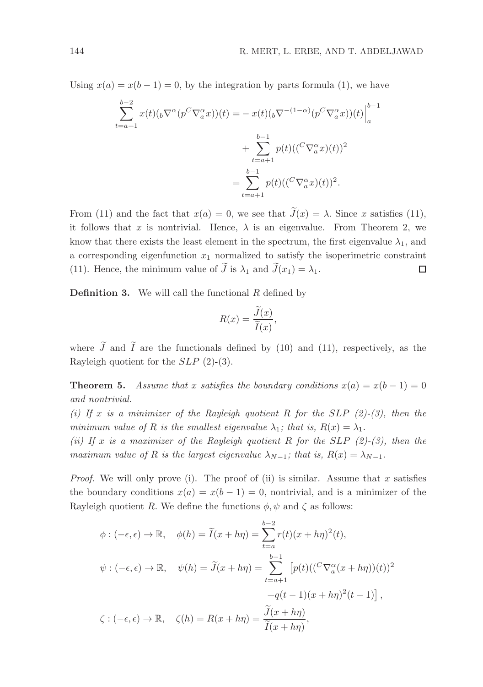Using  $x(a) = x(b-1) = 0$ , by the integration by parts formula (1), we have

$$
\sum_{t=a+1}^{b-2} x(t)(b\nabla^{\alpha}(p^{C}\nabla_{a}^{\alpha}x))(t) = -x(t)(b\nabla^{-(1-\alpha)}(p^{C}\nabla_{a}^{\alpha}x))(t)\Big|_{a}^{b-1} + \sum_{t=a+1}^{b-1} p(t)((C\nabla_{a}^{\alpha}x)(t))^{2}
$$

$$
= \sum_{t=a+1}^{b-1} p(t)((C\nabla_{a}^{\alpha}x)(t))^{2}.
$$

From (11) and the fact that  $x(a) = 0$ , we see that  $\tilde{J}(x) = \lambda$ . Since x satisfies (11), it follows that x is nontrivial. Hence,  $\lambda$  is an eigenvalue. From Theorem 2, we know that there exists the least element in the spectrum, the first eigenvalue  $\lambda_1$ , and a corresponding eigenfunction  $x_1$  normalized to satisfy the isoperimetric constraint (11). Hence, the minimum value of  $\widetilde{J}$  is  $\lambda_1$  and  $\widetilde{J}(x_1) = \lambda_1$ . □

**Definition 3.** We will call the functional  $R$  defined by

$$
R(x) = \frac{\widetilde{J}(x)}{\widetilde{I}(x)},
$$

where  $\tilde{J}$  and  $\tilde{I}$  are the functionals defined by (10) and (11), respectively, as the Rayleigh quotient for the SLP (2)-(3).

**Theorem 5.** Assume that x satisfies the boundary conditions  $x(a) = x(b-1) = 0$ and nontrivial.

(i) If x is a minimizer of the Rayleigh quotient R for the SLP  $(2)-(3)$ , then the minimum value of R is the smallest eigenvalue  $\lambda_1$ ; that is,  $R(x) = \lambda_1$ .

(ii) If x is a maximizer of the Rayleigh quotient R for the SLP  $(2)-(3)$ , then the maximum value of R is the largest eigenvalue  $\lambda_{N-1}$ ; that is,  $R(x) = \lambda_{N-1}$ .

*Proof.* We will only prove (i). The proof of (ii) is similar. Assume that x satisfies the boundary conditions  $x(a) = x(b-1) = 0$ , nontrivial, and is a minimizer of the Rayleigh quotient R. We define the functions  $\phi, \psi$  and  $\zeta$  as follows:

$$
\phi: (-\epsilon, \epsilon) \to \mathbb{R}, \quad \phi(h) = \widetilde{I}(x + h\eta) = \sum_{t=a}^{b-2} r(t)(x + h\eta)^2(t),
$$
  

$$
\psi: (-\epsilon, \epsilon) \to \mathbb{R}, \quad \psi(h) = \widetilde{J}(x + h\eta) = \sum_{t=a+1}^{b-1} [p(t)((^C\nabla_a^{\alpha}(x + h\eta))(t))^2
$$

$$
+ q(t-1)(x + h\eta)^2(t-1)],
$$
  

$$
\zeta: (-\epsilon, \epsilon) \to \mathbb{R}, \quad \zeta(h) = R(x + h\eta) = \frac{\widetilde{J}(x + h\eta)}{\widetilde{I}(x + h\eta)},
$$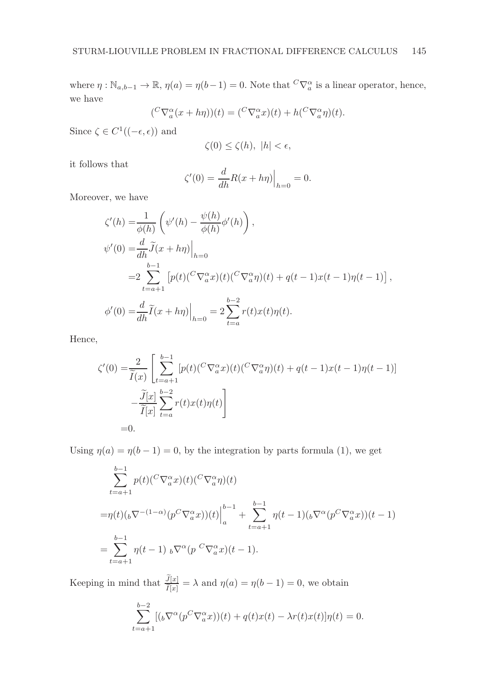where  $\eta : \mathbb{N}_{a,b-1} \to \mathbb{R}$ ,  $\eta(a) = \eta(b-1) = 0$ . Note that  ${}^{C}\nabla_a^{\alpha}$  is a linear operator, hence, we have

$$
({}^{C}\nabla_a^{\alpha}(x+h\eta))(t) = ({}^{C}\nabla_a^{\alpha}x)(t) + h({}^{C}\nabla_a^{\alpha}\eta)(t).
$$

Since  $\zeta \in C^1((-\epsilon, \epsilon))$  and

$$
\zeta(0) \le \zeta(h), \ |h| < \epsilon,
$$

it follows that

$$
\zeta'(0) = \frac{d}{dh} R(x + h\eta)\Big|_{h=0} = 0.
$$

Moreover, we have

$$
\zeta'(h) = \frac{1}{\phi(h)} \left( \psi'(h) - \frac{\psi(h)}{\phi(h)} \phi'(h) \right),
$$
  

$$
\psi'(0) = \frac{d}{dh} \tilde{J}(x + h\eta) \Big|_{h=0}
$$
  

$$
= 2 \sum_{t=a+1}^{b-1} \left[ p(t) \left( {}^{C}\nabla_{a}^{\alpha} x \right) (t) \left( {}^{C}\nabla_{a}^{\alpha} \eta \right) (t) + q(t-1)x(t-1)\eta(t-1) \right],
$$
  

$$
\phi'(0) = \frac{d}{dh} \tilde{I}(x + h\eta) \Big|_{h=0} = 2 \sum_{t=a}^{b-2} r(t)x(t)\eta(t).
$$

Hence,

$$
\zeta'(0) = \frac{2}{\widetilde{I}(x)} \left[ \sum_{t=a+1}^{b-1} [p(t) \left( {}^{C}\nabla_a^{\alpha} x \right)(t) \left( {}^{C}\nabla_a^{\alpha} \eta \right)(t) + q(t-1)x(t-1)\eta(t-1) \right] - \frac{\widetilde{I}[x]}{\widetilde{I}[x]} \sum_{t=a}^{b-2} r(t)x(t)\eta(t) \right]
$$
  
= 0.

Using  $\eta(a) = \eta(b-1) = 0$ , by the integration by parts formula (1), we get

$$
\sum_{t=a+1}^{b-1} p(t) ({}^{C} \nabla_{a}^{\alpha} x)(t) ({}^{C} \nabla_{a}^{\alpha} \eta)(t)
$$
\n
$$
= \eta(t) (\, {}_{b} \nabla^{-(1-\alpha)} (p^{C} \nabla_{a}^{\alpha} x))(t) \Big|_{a}^{b-1} + \sum_{t=a+1}^{b-1} \eta(t-1) (\, {}_{b} \nabla^{\alpha} (p^{C} \nabla_{a}^{\alpha} x))(t-1)
$$
\n
$$
= \sum_{t=a+1}^{b-1} \eta(t-1) \, {}_{b} \nabla^{\alpha} (p \, {}^{C} \nabla_{a}^{\alpha} x)(t-1).
$$

Keeping in mind that  $\frac{\widetilde{J}[x]}{\widetilde{I}[x]} = \lambda$  and  $\eta(a) = \eta(b-1) = 0$ , we obtain

$$
\sum_{t=a+1}^{b-2} [(b\nabla^{\alpha}(p^{C}\nabla_{a}^{\alpha}x))(t) + q(t)x(t) - \lambda r(t)x(t)]\eta(t) = 0.
$$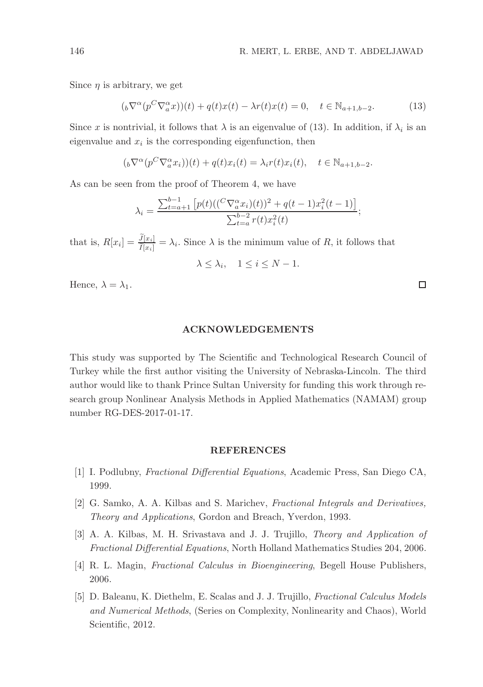Since  $\eta$  is arbitrary, we get

$$
({}_b\nabla^{\alpha}(p^C\nabla_a^{\alpha}x))(t) + q(t)x(t) - \lambda r(t)x(t) = 0, \quad t \in \mathbb{N}_{a+1,b-2}.
$$
 (13)

Since x is nontrivial, it follows that  $\lambda$  is an eigenvalue of (13). In addition, if  $\lambda_i$  is an eigenvalue and  $x_i$  is the corresponding eigenfunction, then

$$
({}_b\nabla^{\alpha}(p^C\nabla_a^{\alpha}x_i))(t) + q(t)x_i(t) = \lambda_i r(t)x_i(t), \quad t \in \mathbb{N}_{a+1,b-2}.
$$

As can be seen from the proof of Theorem 4, we have

$$
\lambda_i = \frac{\sum_{t=a+1}^{b-1} \left[ p(t) (({}^C \nabla_a^{\alpha} x_i)(t))^2 + q(t-1) x_i^2(t-1) \right]}{\sum_{t=a}^{b-2} r(t) x_i^2(t)};
$$

that is,  $R[x_i] = \frac{\tilde{J}[x_i]}{\tilde{I}[x_i]} = \lambda_i$ . Since  $\lambda$  is the minimum value of R, it follows that

$$
\lambda \leq \lambda_i, \quad 1 \leq i \leq N-1.
$$

Hence,  $\lambda = \lambda_1$ .

## ACKNOWLEDGEMENTS

This study was supported by The Scientific and Technological Research Council of Turkey while the first author visiting the University of Nebraska-Lincoln. The third author would like to thank Prince Sultan University for funding this work through research group Nonlinear Analysis Methods in Applied Mathematics (NAMAM) group number RG-DES-2017-01-17.

#### REFERENCES

- [1] I. Podlubny, Fractional Differential Equations, Academic Press, San Diego CA, 1999.
- [2] G. Samko, A. A. Kilbas and S. Marichev, Fractional Integrals and Derivatives, Theory and Applications, Gordon and Breach, Yverdon, 1993.
- [3] A. A. Kilbas, M. H. Srivastava and J. J. Trujillo, Theory and Application of Fractional Differential Equations, North Holland Mathematics Studies 204, 2006.
- [4] R. L. Magin, Fractional Calculus in Bioengineering, Begell House Publishers, 2006.
- [5] D. Baleanu, K. Diethelm, E. Scalas and J. J. Trujillo, Fractional Calculus Models and Numerical Methods, (Series on Complexity, Nonlinearity and Chaos), World Scientific, 2012.

 $\Box$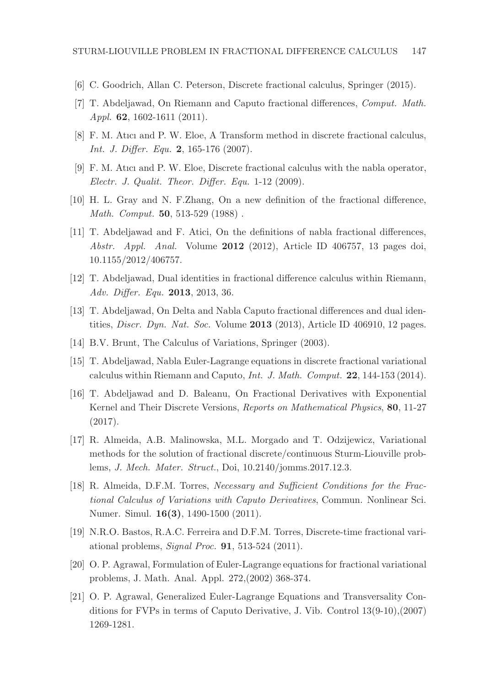- [6] C. Goodrich, Allan C. Peterson, Discrete fractional calculus, Springer (2015).
- [7] T. Abdeljawad, On Riemann and Caputo fractional differences, Comput. Math. Appl. **62**, 1602-1611 (2011).
- [8] F. M. Atıcı and P. W. Eloe, A Transform method in discrete fractional calculus, Int. J. Differ. Equ. 2, 165-176 (2007).
- [9] F. M. Atıcı and P. W. Eloe, Discrete fractional calculus with the nabla operator, Electr. J. Qualit. Theor. Differ. Equ. 1-12 (2009).
- [10] H. L. Gray and N. F.Zhang, On a new definition of the fractional difference, Math. Comput. 50, 513-529 (1988) .
- [11] T. Abdeljawad and F. Atici, On the definitions of nabla fractional differences, Abstr. Appl. Anal. Volume  $2012$  (2012), Article ID 406757, 13 pages doi, 10.1155/2012/406757.
- [12] T. Abdeljawad, Dual identities in fractional difference calculus within Riemann, Adv. Differ. Equ. 2013, 2013, 36.
- [13] T. Abdeljawad, On Delta and Nabla Caputo fractional differences and dual identities, *Discr. Dyn. Nat. Soc.* Volume  $2013$  (2013), Article ID 406910, 12 pages.
- [14] B.V. Brunt, The Calculus of Variations, Springer (2003).
- [15] T. Abdeljawad, Nabla Euler-Lagrange equations in discrete fractional variational calculus within Riemann and Caputo, Int. J. Math. Comput. 22, 144-153 (2014).
- [16] T. Abdeljawad and D. Baleanu, On Fractional Derivatives with Exponential Kernel and Their Discrete Versions, Reports on Mathematical Physics, 80, 11-27 (2017).
- [17] R. Almeida, A.B. Malinowska, M.L. Morgado and T. Odzijewicz, Variational methods for the solution of fractional discrete/continuous Sturm-Liouville problems, J. Mech. Mater. Struct., Doi, 10.2140/jomms.2017.12.3.
- [18] R. Almeida, D.F.M. Torres, Necessary and Sufficient Conditions for the Fractional Calculus of Variations with Caputo Derivatives, Commun. Nonlinear Sci. Numer. Simul. 16(3), 1490-1500 (2011).
- [19] N.R.O. Bastos, R.A.C. Ferreira and D.F.M. Torres, Discrete-time fractional variational problems, *Signal Proc.* **91**, 513-524 (2011).
- [20] O. P. Agrawal, Formulation of Euler-Lagrange equations for fractional variational problems, J. Math. Anal. Appl. 272,(2002) 368-374.
- [21] O. P. Agrawal, Generalized Euler-Lagrange Equations and Transversality Conditions for FVPs in terms of Caputo Derivative, J. Vib. Control 13(9-10),(2007) 1269-1281.